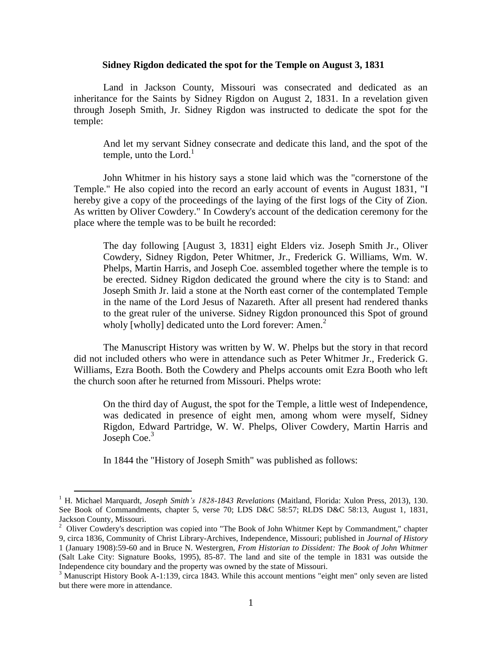## **Sidney Rigdon dedicated the spot for the Temple on August 3, 1831**

Land in Jackson County, Missouri was consecrated and dedicated as an inheritance for the Saints by Sidney Rigdon on August 2, 1831. In a revelation given through Joseph Smith, Jr. Sidney Rigdon was instructed to dedicate the spot for the temple:

And let my servant Sidney consecrate and dedicate this land, and the spot of the temple, unto the Lord. $<sup>1</sup>$ </sup>

John Whitmer in his history says a stone laid which was the "cornerstone of the Temple." He also copied into the record an early account of events in August 1831, "I hereby give a copy of the proceedings of the laying of the first logs of the City of Zion. As written by Oliver Cowdery." In Cowdery's account of the dedication ceremony for the place where the temple was to be built he recorded:

The day following [August 3, 1831] eight Elders viz. Joseph Smith Jr., Oliver Cowdery, Sidney Rigdon, Peter Whitmer, Jr., Frederick G. Williams, Wm. W. Phelps, Martin Harris, and Joseph Coe. assembled together where the temple is to be erected. Sidney Rigdon dedicated the ground where the city is to Stand: and Joseph Smith Jr. laid a stone at the North east corner of the contemplated Temple in the name of the Lord Jesus of Nazareth. After all present had rendered thanks to the great ruler of the universe. Sidney Rigdon pronounced this Spot of ground wholy [wholly] dedicated unto the Lord forever: Amen. $<sup>2</sup>$ </sup>

The Manuscript History was written by W. W. Phelps but the story in that record did not included others who were in attendance such as Peter Whitmer Jr., Frederick G. Williams, Ezra Booth. Both the Cowdery and Phelps accounts omit Ezra Booth who left the church soon after he returned from Missouri. Phelps wrote:

On the third day of August, the spot for the Temple, a little west of Independence, was dedicated in presence of eight men, among whom were myself, Sidney Rigdon, Edward Partridge, W. W. Phelps, Oliver Cowdery, Martin Harris and Joseph Coe. $3$ 

In 1844 the "History of Joseph Smith" was published as follows:

 $\overline{a}$ 

<sup>1</sup> H. Michael Marquardt, *Joseph Smith's 1828-1843 Revelations* (Maitland, Florida: Xulon Press, 2013), 130. See Book of Commandments, chapter 5, verse 70; LDS D&C 58:57; RLDS D&C 58:13, August 1, 1831, Jackson County, Missouri.

<sup>&</sup>lt;sup>2</sup> Oliver Cowdery's description was copied into "The Book of John Whitmer Kept by Commandment," chapter 9, circa 1836, Community of Christ Library-Archives, Independence, Missouri; published in *Journal of History* 1 (January 1908):59-60 and in Bruce N. Westergren, *From Historian to Dissident: The Book of John Whitmer* (Salt Lake City: Signature Books, 1995), 85-87. The land and site of the temple in 1831 was outside the Independence city boundary and the property was owned by the state of Missouri.

<sup>&</sup>lt;sup>3</sup> Manuscript History Book A-1:139, circa 1843. While this account mentions "eight men" only seven are listed but there were more in attendance.